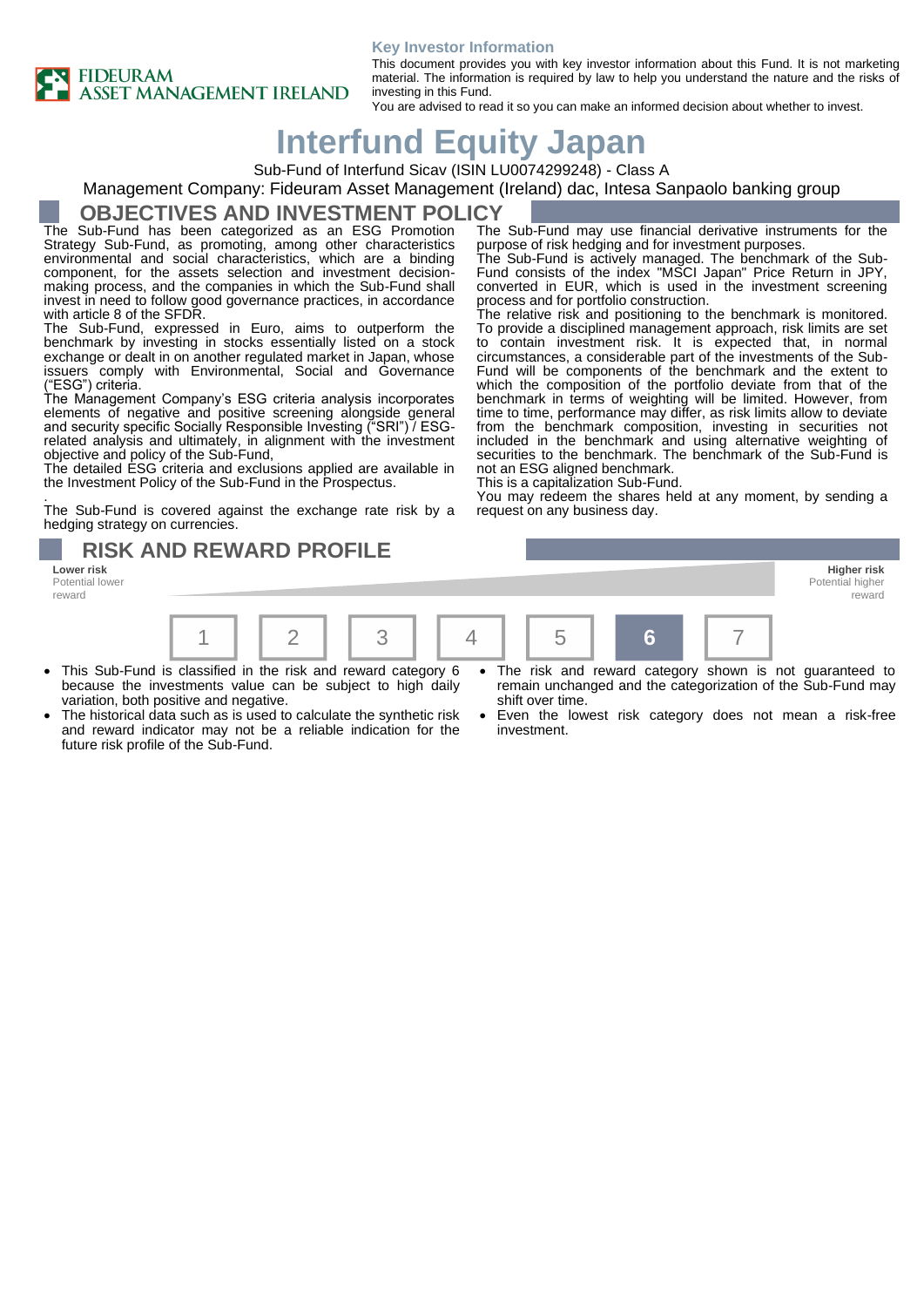#### **Key Investor Information**



### This document provides you with key investor information about this Fund. It is not marketing material. The information is required by law to help you understand the nature and the risks of investing in this Fund.

purpose of risk hedging and for investment purposes.

process and for portfolio construction.

not an ESG aligned benchmark. This is a capitalization Sub-Fund.

request on any business day.

The Sub-Fund may use financial derivative instruments for the

The Sub-Fund is actively managed. The benchmark of the Sub-Fund consists of the index "MSCI Japan" Price Return in JPY, converted in EUR, which is used in the investment screening

The relative risk and positioning to the benchmark is monitored. To provide a disciplined management approach, risk limits are set to contain investment risk. It is expected that, in normal circumstances, a considerable part of the investments of the Sub-Fund will be components of the benchmark and the extent to which the composition of the portfolio deviate from that of the benchmark in terms of weighting will be limited. However, from time to time, performance may differ, as risk limits allow to deviate from the benchmark composition, investing in securities not included in the benchmark and using alternative weighting of securities to the benchmark. The benchmark of the Sub-Fund is

You may redeem the shares held at any moment, by sending a

You are advised to read it so you can make an informed decision about whether to invest.

# **Interfund Equity Japan**

Sub-Fund of Interfund Sicav (ISIN LU0074299248) - Class A

Management Company: Fideuram Asset Management (Ireland) dac, Intesa Sanpaolo banking group

## **OBJECTIVES AND INVESTMENT POLICY**

The Sub-Fund has been categorized as an ESG Promotion Strategy Sub-Fund, as promoting, among other characteristics environmental and social characteristics, which are a binding component, for the assets selection and investment decisionmaking process, and the companies in which the Sub-Fund shall invest in need to follow good governance practices, in accordance with article 8 of the SFDR.

The Sub-Fund, expressed in Euro, aims to outperform the benchmark by investing in stocks essentially listed on a stock exchange or dealt in on another regulated market in Japan, whose issuers comply with Environmental, Social and Governance ("ESG") criteria.

The Management Company's ESG criteria analysis incorporates elements of negative and positive screening alongside general and security specific Socially Responsible Investing ("SRI") / ESGrelated analysis and ultimately, in alignment with the investment objective and policy of the Sub-Fund,

The detailed ESG criteria and exclusions applied are available in the Investment Policy of the Sub-Fund in the Prospectus.

. The Sub-Fund is covered against the exchange rate risk by a hedging strategy on currencies.

**RISK AND REWARD PROFILE** 

Potential lower reward



- This Sub-Fund is classified in the risk and reward category 6 because the investments value can be subject to high daily variation, both positive and negative.
- The historical data such as is used to calculate the synthetic risk and reward indicator may not be a reliable indication for the future risk profile of the Sub-Fund.
- The risk and reward category shown is not guaranteed to remain unchanged and the categorization of the Sub-Fund may shift over time.

Potential higher reward

Even the lowest risk category does not mean a risk-free investment.